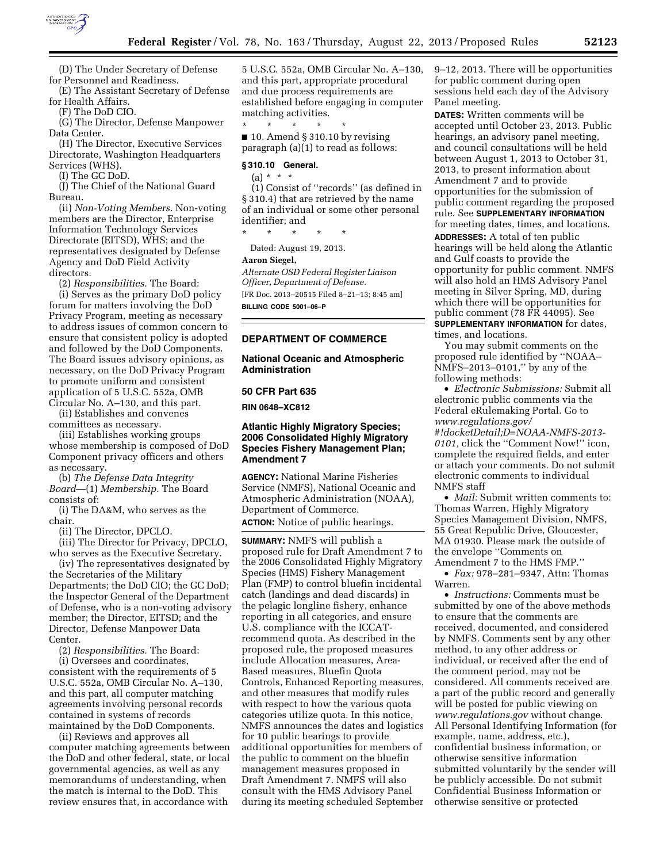

(D) The Under Secretary of Defense for Personnel and Readiness.

(E) The Assistant Secretary of Defense for Health Affairs.

(F) The DoD CIO.

(G) The Director, Defense Manpower Data Center.

(H) The Director, Executive Services Directorate, Washington Headquarters Services (WHS).

(I) The GC DoD.

(J) The Chief of the National Guard Bureau.

(ii) *Non-Voting Members.* Non-voting members are the Director, Enterprise Information Technology Services Directorate (EITSD), WHS; and the representatives designated by Defense Agency and DoD Field Activity directors.

(2) *Responsibilities.* The Board:

(i) Serves as the primary DoD policy forum for matters involving the DoD Privacy Program, meeting as necessary to address issues of common concern to ensure that consistent policy is adopted and followed by the DoD Components. The Board issues advisory opinions, as necessary, on the DoD Privacy Program to promote uniform and consistent application of 5 U.S.C. 552a, OMB Circular No. A–130, and this part.

(ii) Establishes and convenes committees as necessary.

(iii) Establishes working groups whose membership is composed of DoD Component privacy officers and others as necessary.

(b) *The Defense Data Integrity Board*—(1) *Membership.* The Board consists of:

(i) The DA&M, who serves as the chair.

(ii) The Director, DPCLO.

(iii) The Director for Privacy, DPCLO, who serves as the Executive Secretary.

(iv) The representatives designated by the Secretaries of the Military Departments; the DoD CIO; the GC DoD; the Inspector General of the Department of Defense, who is a non-voting advisory member; the Director, EITSD; and the Director, Defense Manpower Data Center.

(2) *Responsibilities.* The Board:

(i) Oversees and coordinates, consistent with the requirements of 5 U.S.C. 552a, OMB Circular No. A–130, and this part, all computer matching agreements involving personal records contained in systems of records maintained by the DoD Components.

(ii) Reviews and approves all computer matching agreements between the DoD and other federal, state, or local governmental agencies, as well as any memorandums of understanding, when the match is internal to the DoD. This review ensures that, in accordance with

5 U.S.C. 552a, OMB Circular No. A–130, and this part, appropriate procedural and due process requirements are established before engaging in computer matching activities.

\* \* \* \* \* ■ 10. Amend § 310.10 by revising paragraph (a)(1) to read as follows:

#### **§ 310.10 General.**

 $(a) * * * *$ 

(1) Consist of ''records'' (as defined in § 310.4) that are retrieved by the name of an individual or some other personal identifier; and

\* \* \* \* \*

Dated: August 19, 2013.

#### **Aaron Siegel,**

*Alternate OSD Federal Register Liaison Officer, Department of Defense.*  [FR Doc. 2013–20515 Filed 8–21–13; 8:45 am] **BILLING CODE 5001–06–P** 

## **DEPARTMENT OF COMMERCE**

## **National Oceanic and Atmospheric Administration**

### **50 CFR Part 635**

**RIN 0648–XC812** 

## **Atlantic Highly Migratory Species; 2006 Consolidated Highly Migratory Species Fishery Management Plan; Amendment 7**

**AGENCY:** National Marine Fisheries Service (NMFS), National Oceanic and Atmospheric Administration (NOAA), Department of Commerce.

**ACTION:** Notice of public hearings.

**SUMMARY:** NMFS will publish a proposed rule for Draft Amendment 7 to the 2006 Consolidated Highly Migratory Species (HMS) Fishery Management Plan (FMP) to control bluefin incidental catch (landings and dead discards) in the pelagic longline fishery, enhance reporting in all categories, and ensure U.S. compliance with the ICCATrecommend quota. As described in the proposed rule, the proposed measures include Allocation measures, Area-Based measures, Bluefin Quota Controls, Enhanced Reporting measures, and other measures that modify rules with respect to how the various quota categories utilize quota. In this notice, NMFS announces the dates and logistics for 10 public hearings to provide additional opportunities for members of the public to comment on the bluefin management measures proposed in Draft Amendment 7. NMFS will also consult with the HMS Advisory Panel during its meeting scheduled September 9–12, 2013. There will be opportunities for public comment during open sessions held each day of the Advisory Panel meeting.

**DATES:** Written comments will be accepted until October 23, 2013. Public hearings, an advisory panel meeting, and council consultations will be held between August 1, 2013 to October 31, 2013, to present information about Amendment 7 and to provide opportunities for the submission of public comment regarding the proposed rule. See **SUPPLEMENTARY INFORMATION** for meeting dates, times, and locations.

**ADDRESSES:** A total of ten public hearings will be held along the Atlantic and Gulf coasts to provide the opportunity for public comment. NMFS will also hold an HMS Advisory Panel meeting in Silver Spring, MD, during which there will be opportunities for public comment (78 FR 44095). See **SUPPLEMENTARY INFORMATION** for dates, times, and locations.

You may submit comments on the proposed rule identified by ''NOAA– NMFS–2013–0101,'' by any of the following methods:

• *Electronic Submissions:* Submit all electronic public comments via the Federal eRulemaking Portal. Go to *[www.regulations.gov/](http://www.regulations.gov/#!docketDetail;D=NOAA-NMFS-2013-0101)* 

*[#!docketDetail;D=NOAA-NMFS-2013-](http://www.regulations.gov/#!docketDetail;D=NOAA-NMFS-2013-0101) [0101,](http://www.regulations.gov/#!docketDetail;D=NOAA-NMFS-2013-0101)* click the ''Comment Now!'' icon, complete the required fields, and enter or attach your comments. Do not submit electronic comments to individual NMFS staff

• *Mail:* Submit written comments to: Thomas Warren, Highly Migratory Species Management Division, NMFS, 55 Great Republic Drive, Gloucester, MA 01930. Please mark the outside of the envelope ''Comments on Amendment 7 to the HMS FMP.''

• *Fax:* 978–281–9347, Attn: Thomas Warren.

• *Instructions:* Comments must be submitted by one of the above methods to ensure that the comments are received, documented, and considered by NMFS. Comments sent by any other method, to any other address or individual, or received after the end of the comment period, may not be considered. All comments received are a part of the public record and generally will be posted for public viewing on *[www.regulations.gov](http://www.regulations.gov)* without change. All Personal Identifying Information (for example, name, address, etc.), confidential business information, or otherwise sensitive information submitted voluntarily by the sender will be publicly accessible. Do not submit Confidential Business Information or otherwise sensitive or protected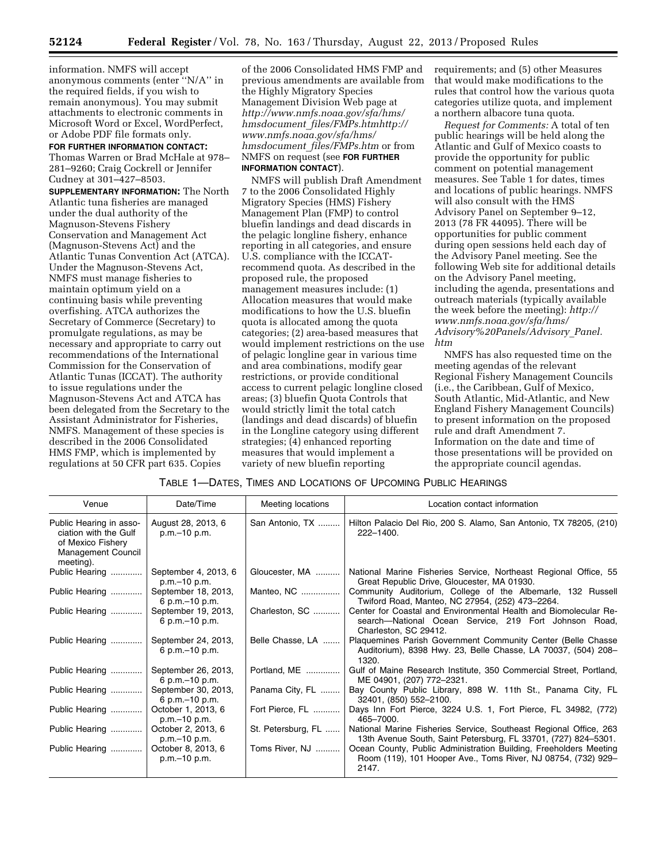information. NMFS will accept anonymous comments (enter ''N/A'' in the required fields, if you wish to remain anonymous). You may submit attachments to electronic comments in Microsoft Word or Excel, WordPerfect, or Adobe PDF file formats only.

## **FOR FURTHER INFORMATION CONTACT:**

Thomas Warren or Brad McHale at 978– 281–9260; Craig Cockrell or Jennifer Cudney at 301–427–8503.

**SUPPLEMENTARY INFORMATION:** The North Atlantic tuna fisheries are managed under the dual authority of the Magnuson-Stevens Fishery Conservation and Management Act (Magnuson-Stevens Act) and the Atlantic Tunas Convention Act (ATCA). Under the Magnuson-Stevens Act, NMFS must manage fisheries to maintain optimum yield on a continuing basis while preventing overfishing. ATCA authorizes the Secretary of Commerce (Secretary) to promulgate regulations, as may be necessary and appropriate to carry out recommendations of the International Commission for the Conservation of Atlantic Tunas (ICCAT). The authority to issue regulations under the Magnuson-Stevens Act and ATCA has been delegated from the Secretary to the Assistant Administrator for Fisheries, NMFS. Management of these species is described in the 2006 Consolidated HMS FMP, which is implemented by regulations at 50 CFR part 635. Copies

of the 2006 Consolidated HMS FMP and previous amendments are available from the Highly Migratory Species Management Division Web page at *[http://www.nmfs.noaa.gov/sfa/hms/](http://www.nmfs.noaa.gov/sfa/hms/hmsdocument_files/FMPs.htm)  hmsdocument*\_*[files/FMPs.htmhttp://](http://www.nmfs.noaa.gov/sfa/hms/hmsdocument_files/FMPs.htm)  [www.nmfs.noaa.gov/sfa/hms/](http://www.nmfs.noaa.gov/sfa/hms/hmsdocument_files/FMPs.htm)  hmsdocument*\_*[files/FMPs.htm](http://www.nmfs.noaa.gov/sfa/hms/hmsdocument_files/FMPs.htm)* or from NMFS on request (see **FOR FURTHER INFORMATION CONTACT**).

NMFS will publish Draft Amendment 7 to the 2006 Consolidated Highly Migratory Species (HMS) Fishery Management Plan (FMP) to control bluefin landings and dead discards in the pelagic longline fishery, enhance reporting in all categories, and ensure U.S. compliance with the ICCATrecommend quota. As described in the proposed rule, the proposed management measures include: (1) Allocation measures that would make modifications to how the U.S. bluefin quota is allocated among the quota categories; (2) area-based measures that would implement restrictions on the use of pelagic longline gear in various time and area combinations, modify gear restrictions, or provide conditional access to current pelagic longline closed areas; (3) bluefin Quota Controls that would strictly limit the total catch (landings and dead discards) of bluefin in the Longline category using different strategies; (4) enhanced reporting measures that would implement a variety of new bluefin reporting

requirements; and (5) other Measures that would make modifications to the rules that control how the various quota categories utilize quota, and implement a northern albacore tuna quota.

*Request for Comments:* A total of ten public hearings will be held along the Atlantic and Gulf of Mexico coasts to provide the opportunity for public comment on potential management measures. See Table 1 for dates, times and locations of public hearings. NMFS will also consult with the HMS Advisory Panel on September 9–12, 2013 (78 FR 44095). There will be opportunities for public comment during open sessions held each day of the Advisory Panel meeting. See the following Web site for additional details on the Advisory Panel meeting, including the agenda, presentations and outreach materials (typically available the week before the meeting): *[http://](http://www.nmfs.noaa.gov/sfa/hms/Advisory%20Panels/Advisory_Panel.htm) [www.nmfs.noaa.gov/sfa/hms/](http://www.nmfs.noaa.gov/sfa/hms/Advisory%20Panels/Advisory_Panel.htm) [Advisory%20Panels/Advisory](http://www.nmfs.noaa.gov/sfa/hms/Advisory%20Panels/Advisory_Panel.htm)*\_*Panel. [htm](http://www.nmfs.noaa.gov/sfa/hms/Advisory%20Panels/Advisory_Panel.htm)* 

NMFS has also requested time on the meeting agendas of the relevant Regional Fishery Management Councils (i.e., the Caribbean, Gulf of Mexico, South Atlantic, Mid-Atlantic, and New England Fishery Management Councils) to present information on the proposed rule and draft Amendment 7. Information on the date and time of those presentations will be provided on the appropriate council agendas.

### TABLE 1—DATES, TIMES AND LOCATIONS OF UPCOMING PUBLIC HEARINGS

| Venue                                                                                                           | Date/Time                               | Meeting locations  | Location contact information                                                                                                                       |
|-----------------------------------------------------------------------------------------------------------------|-----------------------------------------|--------------------|----------------------------------------------------------------------------------------------------------------------------------------------------|
| Public Hearing in asso-<br>ciation with the Gulf<br>of Mexico Fishery<br><b>Management Council</b><br>meeting). | August 28, 2013, 6<br>p.m. - 10 p.m.    | San Antonio, TX    | Hilton Palacio Del Rio, 200 S. Alamo, San Antonio, TX 78205, (210)<br>222-1400.                                                                    |
| Public Hearing                                                                                                  | September 4, 2013, 6<br>p.m.–10 p.m.    | Gloucester, MA     | National Marine Fisheries Service, Northeast Regional Office, 55<br>Great Republic Drive, Gloucester, MA 01930.                                    |
| Public Hearing                                                                                                  | September 18, 2013,<br>6 p.m. - 10 p.m. | Manteo, NC         | Community Auditorium, College of the Albemarle, 132 Russell<br>Twiford Road, Manteo, NC 27954, (252) 473-2264.                                     |
| Public Hearing                                                                                                  | September 19, 2013,<br>6 p.m. - 10 p.m. | Charleston, SC     | Center for Coastal and Environmental Health and Biomolecular Re-<br>search—National Ocean Service, 219 Fort Johnson Road,<br>Charleston, SC 29412. |
| Public Hearing                                                                                                  | September 24, 2013,<br>6 p.m. - 10 p.m. | Belle Chasse, LA   | Plaquemines Parish Government Community Center (Belle Chasse<br>Auditorium), 8398 Hwy. 23, Belle Chasse, LA 70037, (504) 208-<br>1320.             |
| Public Hearing                                                                                                  | September 26, 2013,<br>6 p.m. - 10 p.m. | Portland, ME       | Gulf of Maine Research Institute, 350 Commercial Street, Portland,<br>ME 04901, (207) 772-2321.                                                    |
| Public Hearing                                                                                                  | September 30, 2013,<br>6 p.m. - 10 p.m. | Panama City, FL    | Bay County Public Library, 898 W. 11th St., Panama City, FL<br>32401, (850) 552-2100.                                                              |
| Public Hearing                                                                                                  | October 1, 2013, 6<br>p.m. - 10 p.m.    | Fort Pierce, FL    | Days Inn Fort Pierce, 3224 U.S. 1, Fort Pierce, FL 34982, (772)<br>465-7000.                                                                       |
| Public Hearing                                                                                                  | October 2, 2013, 6<br>p.m. - 10 p.m.    | St. Petersburg, FL | National Marine Fisheries Service, Southeast Regional Office, 263<br>13th Avenue South, Saint Petersburg, FL 33701, (727) 824-5301.                |
| Public Hearing                                                                                                  | October 8, 2013, 6<br>p.m.-10 p.m.      | Toms River, NJ     | Ocean County, Public Administration Building, Freeholders Meeting<br>Room (119), 101 Hooper Ave., Toms River, NJ 08754, (732) 929-<br>2147.        |